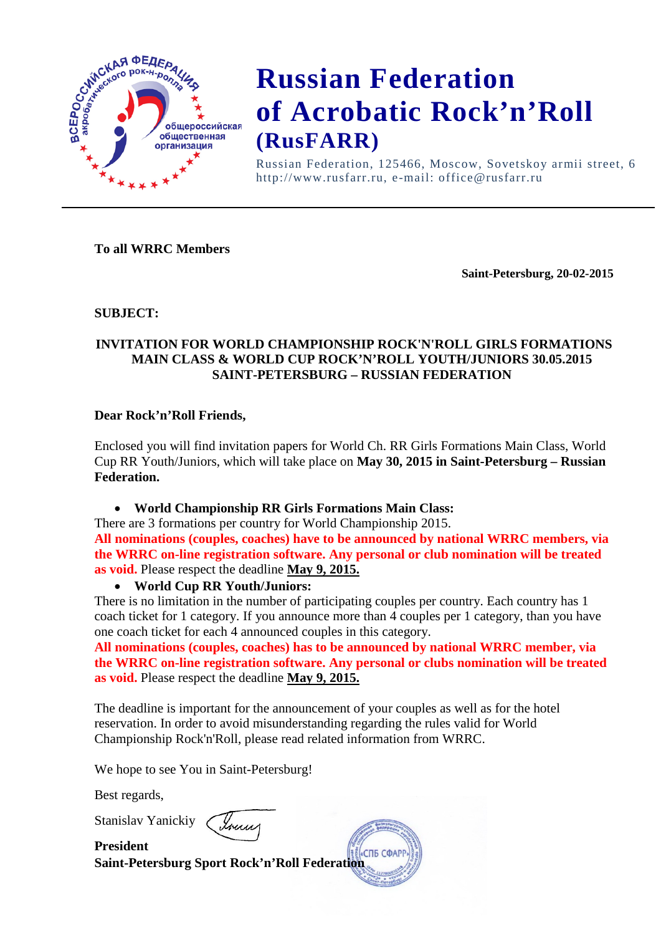

Russian Federation, 125466, Moscow, Sovetskoy armii street, 6 http://www.rusfarr.ru, e-mail: office@rusfarr.ru

### **To all WRRC Members**

**Saint-Petersburg, 20-02-2015**

#### **SUBJECT:**

### **INVITATION FOR WORLD CHAMPIONSHIP ROCK'N'ROLL GIRLS FORMATIONS MAIN CLASS & WORLD CUP ROCK'N'ROLL YOUTH/JUNIORS 30.05.2015 SAINT-PETERSBURG – RUSSIAN FEDERATION**

#### **Dear Rock'n'Roll Friends,**

Enclosed you will find invitation papers for World Ch. RR Girls Formations Main Class, World Cup RR Youth/Juniors, which will take place on **May 30, 2015 in Saint-Petersburg – Russian Federation.**

### • **World Championship RR Girls Formations Main Class:**

There are 3 formations per country for World Championship 2015.

**All nominations (couples, coaches) have to be announced by national WRRC members, via the WRRC on-line registration software. Any personal or club nomination will be treated as void.** Please respect the deadline **May 9, 2015.**

#### • **World Cup RR Youth/Juniors:**

There is no limitation in the number of participating couples per country. Each country has 1 coach ticket for 1 category. If you announce more than 4 couples per 1 category, than you have one coach ticket for each 4 announced couples in this category.

**All nominations (couples, coaches) has to be announced by national WRRC member, via the WRRC on-line registration software. Any personal or clubs nomination will be treated as void.** Please respect the deadline **May 9, 2015.**

**COTE COAPI** 

The deadline is important for the announcement of your couples as well as for the hotel reservation. In order to avoid misunderstanding regarding the rules valid for World Championship Rock'n'Roll, please read related information from WRRC.

We hope to see You in Saint-Petersburg!

Best regards,

Stanislav Yanickiy

**President Saint-Petersburg Sport Rock'n'Roll Federation**

Ionne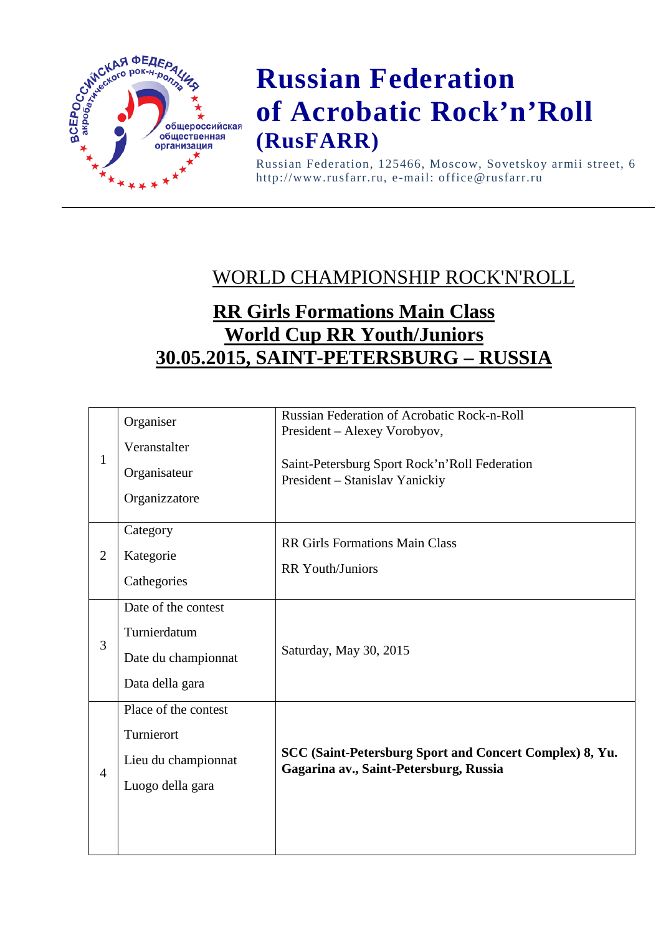

Russian Federation, 125466, Moscow, Sovetskoy armii street, 6 http://www.rusfarr.ru, e-mail: office@rusfarr.ru

### WORLD CHAMPIONSHIP ROCK'N'ROLL

### **RR Girls Formations Main Class World Cup RR Youth/Juniors 30.05.2015, SAINT-PETERSBURG – RUSSIA**

| $\mathbf{1}$   | Organiser<br>Veranstalter<br>Organisateur<br>Organizzatore                    | <b>Russian Federation of Acrobatic Rock-n-Roll</b><br>President - Alexey Vorobyov,<br>Saint-Petersburg Sport Rock'n'Roll Federation<br>President - Stanislav Yanickiy |
|----------------|-------------------------------------------------------------------------------|-----------------------------------------------------------------------------------------------------------------------------------------------------------------------|
| $\overline{2}$ | Category<br>Kategorie<br>Cathegories                                          | <b>RR Girls Formations Main Class</b><br><b>RR</b> Youth/Juniors                                                                                                      |
| 3              | Date of the contest<br>Turnierdatum<br>Date du championnat<br>Data della gara | Saturday, May 30, 2015                                                                                                                                                |
| $\overline{4}$ | Place of the contest<br>Turnierort<br>Lieu du championnat<br>Luogo della gara | SCC (Saint-Petersburg Sport and Concert Complex) 8, Yu.<br>Gagarina av., Saint-Petersburg, Russia                                                                     |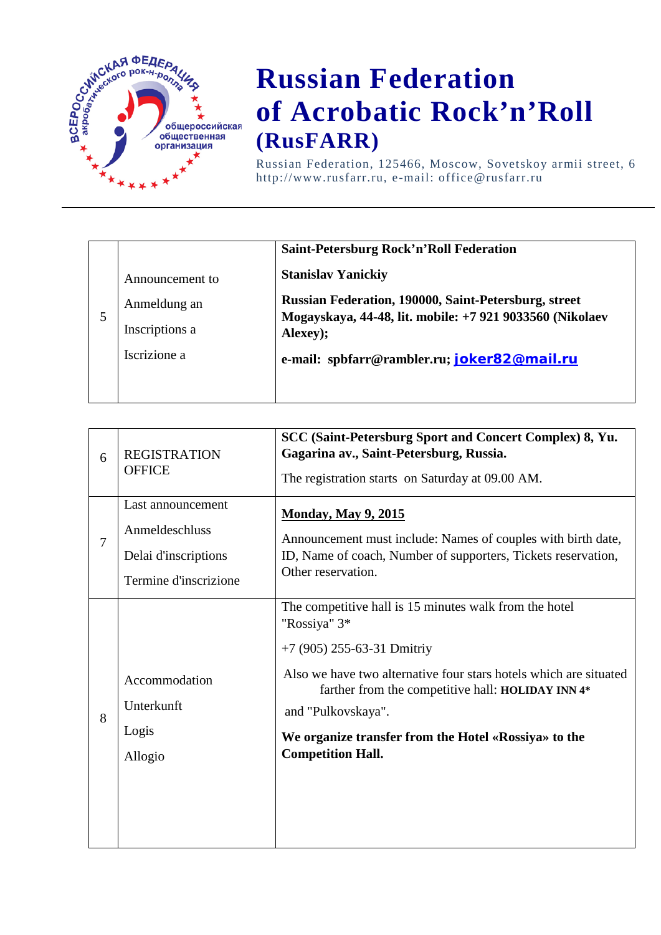

Russian Federation, 125466, Moscow, Sovetskoy armii street, 6 http://www.rusfarr.ru, e-mail: office@rusfarr.ru

|   |                 | Saint-Petersburg Rock'n'Roll Federation                              |
|---|-----------------|----------------------------------------------------------------------|
|   | Announcement to | <b>Stanislav Yanickiy</b>                                            |
|   | Anmeldung an    | <b>Russian Federation, 190000, Saint-Petersburg, street</b>          |
| 5 | Inscriptions a  | Mogayskaya, 44-48, lit. mobile: +7 921 9033560 (Nikolaev<br>Alexey); |
|   | Iscrizione a    | e-mail: spbfarr@rambler.ru; joker82@mail.ru                          |
|   |                 |                                                                      |

| 6 | <b>REGISTRATION</b><br><b>OFFICE</b>                                                 | SCC (Saint-Petersburg Sport and Concert Complex) 8, Yu.<br>Gagarina av., Saint-Petersburg, Russia.<br>The registration starts on Saturday at 09.00 AM.                                                                                                                                                                                   |
|---|--------------------------------------------------------------------------------------|------------------------------------------------------------------------------------------------------------------------------------------------------------------------------------------------------------------------------------------------------------------------------------------------------------------------------------------|
| 7 | Last announcement<br>Anmeldeschluss<br>Delai d'inscriptions<br>Termine d'inscrizione | <b>Monday, May 9, 2015</b><br>Announcement must include: Names of couples with birth date,<br>ID, Name of coach, Number of supporters, Tickets reservation,<br>Other reservation.                                                                                                                                                        |
| 8 | Accommodation<br>Unterkunft<br>Logis<br>Allogio                                      | The competitive hall is 15 minutes walk from the hotel<br>"Rossiya" 3*<br>+7 (905) 255-63-31 Dmitriy<br>Also we have two alternative four stars hotels which are situated<br>farther from the competitive hall: HOLIDAY INN 4*<br>and "Pulkovskaya".<br>We organize transfer from the Hotel «Rossiya» to the<br><b>Competition Hall.</b> |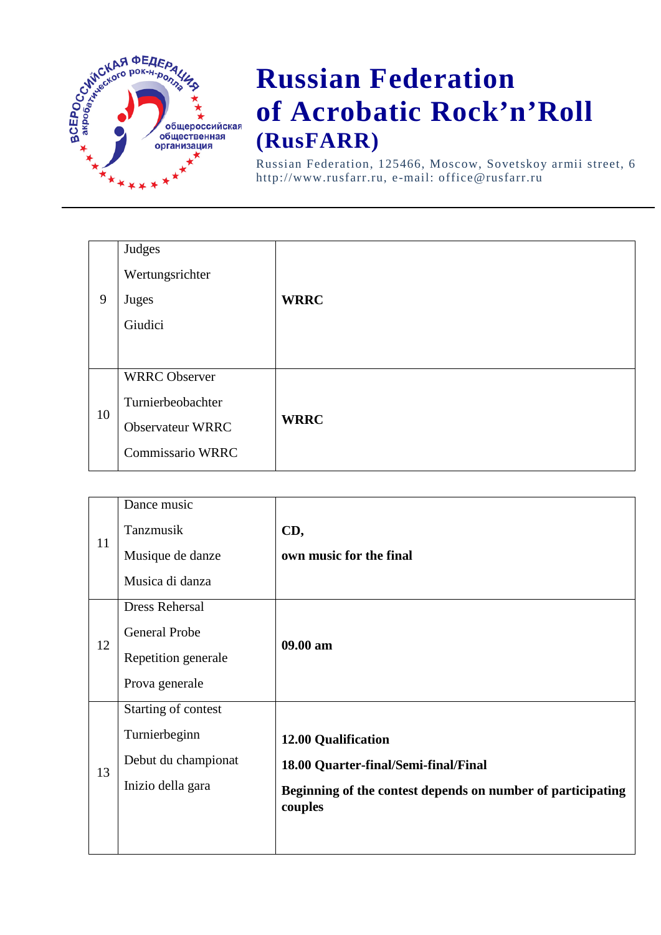

Russian Federation, 125466, Moscow, Sovetskoy armii street, 6 http://www.rusfarr.ru, e-mail: office@rusfarr.ru

|    | Judges                  |             |
|----|-------------------------|-------------|
| 9  | Wertungsrichter         |             |
|    | Juges                   | <b>WRRC</b> |
|    | Giudici                 |             |
|    |                         |             |
| 10 | <b>WRRC</b> Observer    |             |
|    | Turnierbeobachter       |             |
|    | <b>Observateur WRRC</b> | <b>WRRC</b> |
|    | Commissario WRRC        |             |
|    |                         |             |

|    | Dance music           |                                                             |
|----|-----------------------|-------------------------------------------------------------|
| 11 | Tanzmusik             | CD,                                                         |
|    | Musique de danze      | own music for the final                                     |
|    | Musica di danza       |                                                             |
| 12 | <b>Dress Rehersal</b> |                                                             |
|    | General Probe         | 09.00 am                                                    |
|    | Repetition generale   |                                                             |
|    | Prova generale        |                                                             |
|    | Starting of contest   |                                                             |
| 13 | Turnierbeginn         | <b>12.00 Qualification</b>                                  |
|    | Debut du championat   | 18.00 Quarter-final/Semi-final/Final                        |
|    | Inizio della gara     | Beginning of the contest depends on number of participating |
|    |                       | couples                                                     |
|    |                       |                                                             |
|    |                       |                                                             |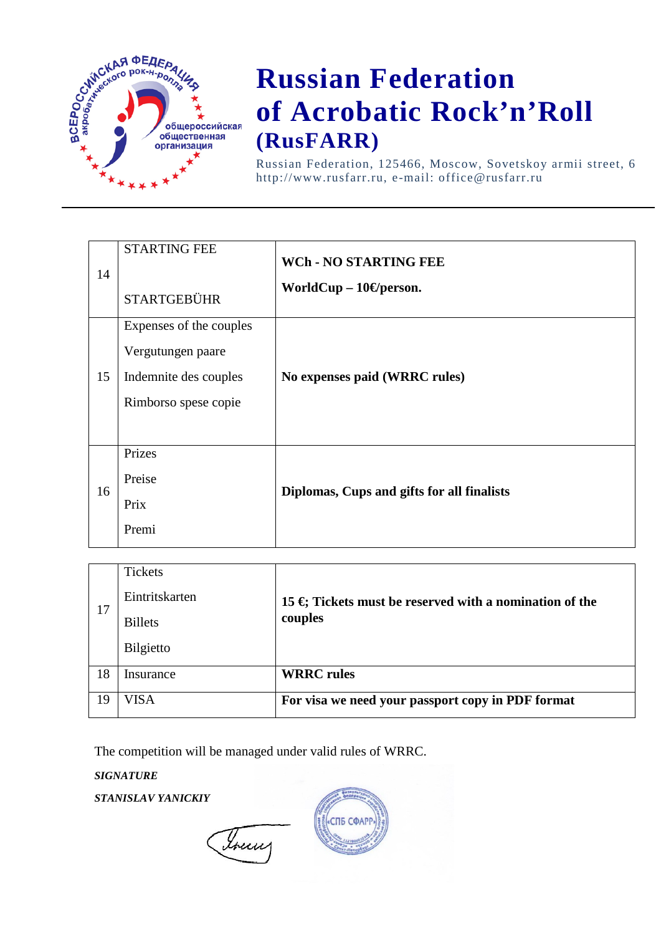

Russian Federation, 125466, Moscow, Sovetskoy armii street, 6 http://www.rusfarr.ru, e-mail: office@rusfarr.ru

| 14 | <b>STARTING FEE</b><br><b>STARTGEBÜHR</b>                                                     | <b>WCh - NO STARTING FEE</b><br>WorldCup $-10\Theta$ person. |
|----|-----------------------------------------------------------------------------------------------|--------------------------------------------------------------|
| 15 | Expenses of the couples<br>Vergutungen paare<br>Indemnite des couples<br>Rimborso spese copie | No expenses paid (WRRC rules)                                |
| 16 | Prizes<br>Preise<br>Prix<br>Premi                                                             | Diplomas, Cups and gifts for all finalists                   |

| 17 | <b>Tickets</b>   |                                                                          |
|----|------------------|--------------------------------------------------------------------------|
|    | Eintritskarten   | 15 $\oplus$ Tickets must be reserved with a nomination of the<br>couples |
|    | <b>Billets</b>   |                                                                          |
|    | <b>Bilgietto</b> |                                                                          |
| 18 | Insurance        | <b>WRRC</b> rules                                                        |
| 19 | VISA             | For visa we need your passport copy in PDF format                        |

The competition will be managed under valid rules of WRRC.

*SIGNATURE*

*STANISLAV YANICKIY*

Toury

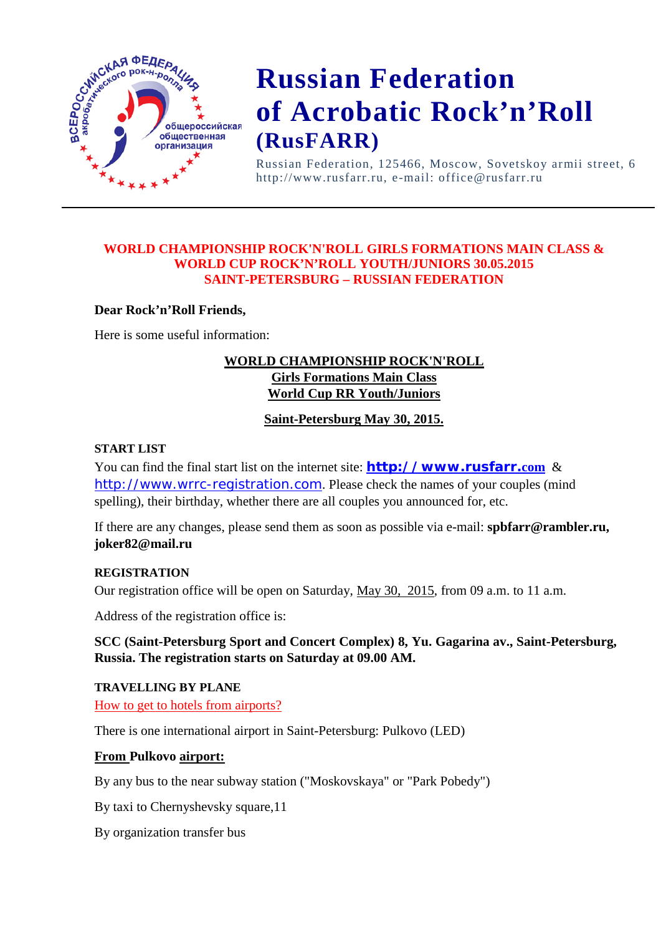

Russian Federation, 125466, Moscow, Sovetskoy armii street, 6 http://www.rusfarr.ru, e-mail: office@rusfarr.ru

### **WORLD CHAMPIONSHIP ROCK'N'ROLL GIRLS FORMATIONS MAIN CLASS & WORLD CUP ROCK'N'ROLL YOUTH/JUNIORS 30.05.2015 SAINT-PETERSBURG – RUSSIAN FEDERATION**

### **Dear Rock'n'Roll Friends,**

Here is some useful information:

### **WORLD CHAMPIONSHIP ROCK'N'ROLL Girls Formations Main Class World Cup RR Youth/Juniors**

### **Saint-Petersburg May 30, 2015.**

#### **START LIST**

You can find the final start list on the internet site: **[http://www.rusfarr.](http://www.rusfarr.com/)com** & [http://www.wrrc-registration.com](http://www.wrrc-registration.com/). Please check the names of your couples (mind spelling), their birthday, whether there are all couples you announced for, etc.

If there are any changes, please send them as soon as possible via e-mail: **spbfarr@rambler.ru, joker82@mail.ru** 

#### **REGISTRATION**

Our registration office will be open on Saturday, May 30, 2015, from 09 a.m. to 11 a.m.

Address of the registration office is:

### **SCC (Saint-Petersburg Sport and Concert Complex) 8, Yu. Gagarina av., Saint-Petersburg, Russia. The registration starts on Saturday at 09.00 AM.**

**TRAVELLING BY PLANE** How to get to hotels from airports?

There is one international airport in Saint-Petersburg: Pulkovo (LED)

### **From Pulkovo airport:**

By any bus to the near subway station ("Moskovskaya" or "Park Pobedy")

By taxi to Chernyshevsky square,11

By organization transfer bus